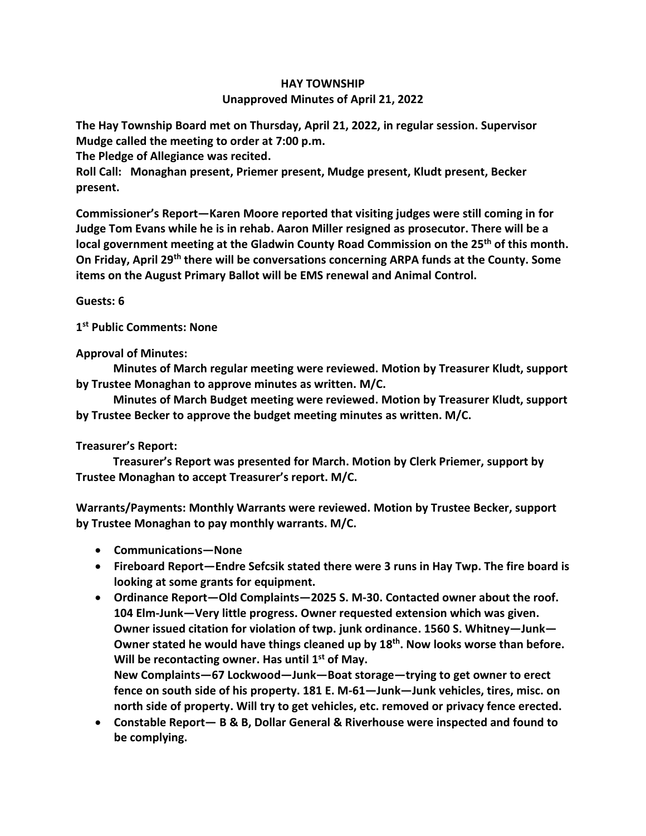## **HAY TOWNSHIP Unapproved Minutes of April 21, 2022**

**The Hay Township Board met on Thursday, April 21, 2022, in regular session. Supervisor Mudge called the meeting to order at 7:00 p.m.** 

**The Pledge of Allegiance was recited.** 

**Roll Call: Monaghan present, Priemer present, Mudge present, Kludt present, Becker present.**

**Commissioner's Report—Karen Moore reported that visiting judges were still coming in for Judge Tom Evans while he is in rehab. Aaron Miller resigned as prosecutor. There will be a local government meeting at the Gladwin County Road Commission on the 25th of this month. On Friday, April 29th there will be conversations concerning ARPA funds at the County. Some items on the August Primary Ballot will be EMS renewal and Animal Control.**

**Guests: 6**

**1 st Public Comments: None**

**Approval of Minutes:**

 **Minutes of March regular meeting were reviewed. Motion by Treasurer Kludt, support by Trustee Monaghan to approve minutes as written. M/C.**

 **Minutes of March Budget meeting were reviewed. Motion by Treasurer Kludt, support by Trustee Becker to approve the budget meeting minutes as written. M/C.**

## **Treasurer's Report:**

 **Treasurer's Report was presented for March. Motion by Clerk Priemer, support by Trustee Monaghan to accept Treasurer's report. M/C.**

**Warrants/Payments: Monthly Warrants were reviewed. Motion by Trustee Becker, support by Trustee Monaghan to pay monthly warrants. M/C.**

- **Communications—None**
- **Fireboard Report—Endre Sefcsik stated there were 3 runs in Hay Twp. The fire board is looking at some grants for equipment.**
- **Ordinance Report—Old Complaints—2025 S. M-30. Contacted owner about the roof. 104 Elm-Junk—Very little progress. Owner requested extension which was given. Owner issued citation for violation of twp. junk ordinance. 1560 S. Whitney—Junk— Owner stated he would have things cleaned up by 18 th . Now looks worse than before. Will be recontacting owner. Has until 1st of May. New Complaints—67 Lockwood—Junk—Boat storage—trying to get owner to erect fence on south side of his property. 181 E. M-61—Junk—Junk vehicles, tires, misc. on north side of property. Will try to get vehicles, etc. removed or privacy fence erected.**
- **Constable Report— B & B, Dollar General & Riverhouse were inspected and found to be complying.**